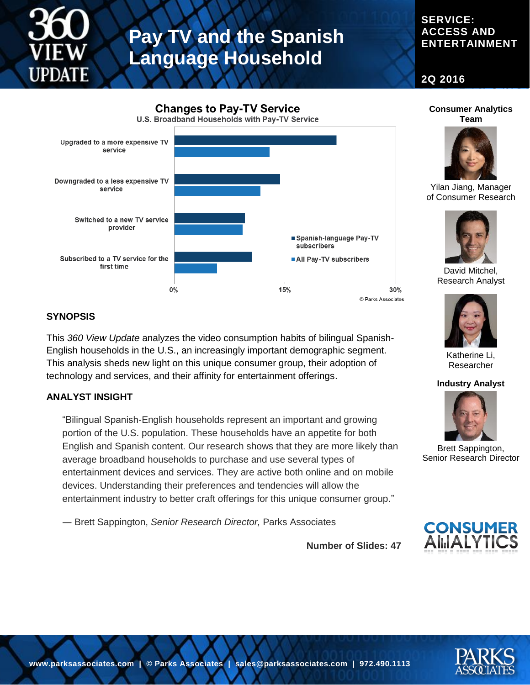

# **Pay TV and the Spanish Language Household**

### **SERVICE: ACCESS AND ENTERTAINMENT**

**2Q 2016**



### **SYNOPSIS**

This *360 View Update* analyzes the video consumption habits of bilingual Spanish-English households in the U.S., an increasingly important demographic segment. This analysis sheds new light on this unique consumer group, their adoption of technology and services, and their affinity for entertainment offerings.

#### **ANALYST INSIGHT**

"Bilingual Spanish-English households represent an important and growing portion of the U.S. population. These households have an appetite for both English and Spanish content. Our research shows that they are more likely than average broadband households to purchase and use several types of entertainment devices and services. They are active both online and on mobile devices. Understanding their preferences and tendencies will allow the entertainment industry to better craft offerings for this unique consumer group."

― Brett Sappington, *Senior Research Director,* Parks Associates





Yilan Jiang, Manager of Consumer Research



David Mitchel, Research Analyst



Katherine Li, Researcher

#### **Industry Analyst**



Brett Sappington, Senior Research Director



**Number of Slides: 47**

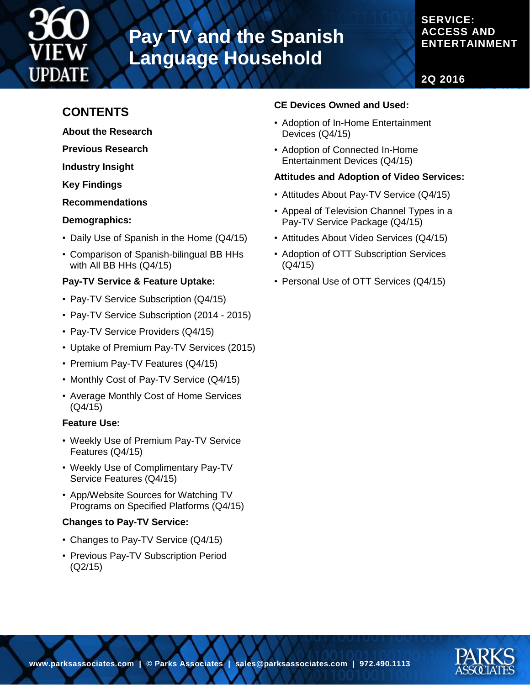

# **Pay TV and the Spanish Language Household**

## **SERVICE: ACCESS AND ENTERTAINMENT**

**2Q 2016**

# **CONTENTS**

- **About the Research**
- **Previous Research**

**Industry Insight**

**Key Findings**

**Recommendations**

#### **Demographics:**

- Daily Use of Spanish in the Home (Q4/15)
- Comparison of Spanish-bilingual BB HHs with All BB HHs (Q4/15)

### **Pay-TV Service & Feature Uptake:**

- Pay-TV Service Subscription (Q4/15)
- Pay-TV Service Subscription (2014 2015)
- Pay-TV Service Providers (Q4/15)
- Uptake of Premium Pay-TV Services (2015)
- Premium Pay-TV Features (Q4/15)
- Monthly Cost of Pay-TV Service (Q4/15)
- Average Monthly Cost of Home Services (Q4/15)

#### **Feature Use:**

- Weekly Use of Premium Pay-TV Service Features (Q4/15)
- Weekly Use of Complimentary Pay-TV Service Features (Q4/15)
- App/Website Sources for Watching TV Programs on Specified Platforms (Q4/15)

#### **Changes to Pay-TV Service:**

- Changes to Pay-TV Service (Q4/15)
- Previous Pay-TV Subscription Period (Q2/15)

### **CE Devices Owned and Used:**

- Adoption of In-Home Entertainment Devices (Q4/15)
- Adoption of Connected In-Home Entertainment Devices (Q4/15)

#### **Attitudes and Adoption of Video Services:**

- Attitudes About Pay-TV Service (Q4/15)
- Appeal of Television Channel Types in a Pay-TV Service Package (Q4/15)
- Attitudes About Video Services (Q4/15)
- Adoption of OTT Subscription Services (Q4/15)
- Personal Use of OTT Services (Q4/15)